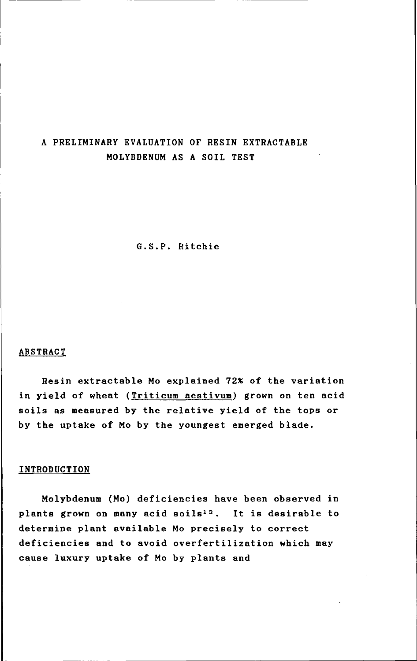# A PRELIMINARY EVALUATION OF RESIN EXTRACTABLE MOLYBDENUM AS A SOIL TEST

G.S.P. Ritchie

#### ABSTRACT

Resin extractable Mo explained 72% of the variation in yield of wheat (Triticum aestivum) grown on ten acid soils as measured by the relative yield of the tops or by the uptake of Mo by the youngest emerged blade.

#### INTRODUCTION

Molybdenum (Mo) deficiencies have been observed in plants grown on many acid soils<sup>13</sup>. It is desirable to determine plant available Mo precisely to correct deficiencies and to avoid overfertilization which may cause luxury uptake of Mo by plants and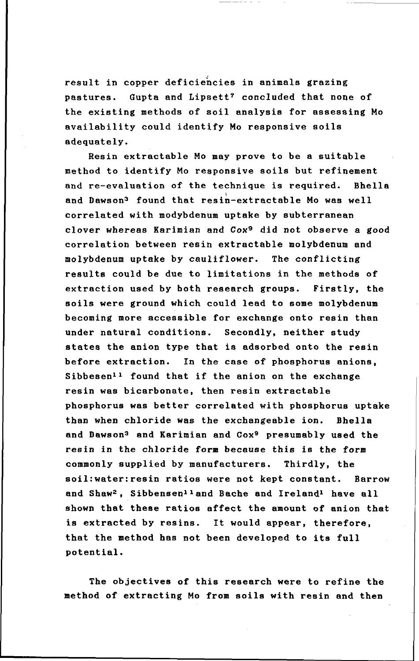result in copper deficiencies in animals grazing pastures. Gupta and Lipsett? concluded that none of the existing methods of soil analysis for assessing Mo availability could identify Mo responsive soils adequately.

Resin extractable Mo may prove to be a suitable method to identify Mo responsive soils but refinement and re-evaluation of the technique is required. Bhella and Dawson<sup>3</sup> found that resin-extractable Mo was well correlated with modybdenum uptake by subterranean clover whereas Karimian and Cox9 did not observe a good correlation between resin extractable molybdenum and molybdenum uptake by cauliflower. The conflicting results could be due to limitations in the methods of extraction used by both research groups. Firstly, the soils were ground which could lead to some molybdenum becoming more accessible for exchange onto resin than under natural conditions. Secondly, neither study states the anion type that is adsorbed onto the resin before extraction. In the case of phosphorus anions, Sibbesen<sup>11</sup> found that if the anion on the exchange resin was bicarbonate, then resin extractable phosphorus was better correlated with phosphorus uptake than when chloride was the exchangeable ion. Bhella and Dawson<sup>3</sup> and Karimian and Cox<sup>9</sup> presumably used the resin in the chloride form because this is the form commonly supplied by manufacturers. Thirdly, the soil:water:resin ratios were not kept constant. Barrow and Shaw2 , Sibbensen11and Bache and Ireland1 have all shown that these ratios affect the amount of anion that is extracted by resins. It would appear, therefore, that the method has not been developed to its full potential.

The objectives of this research were to refine the method of extracting Mo from soils with resin and then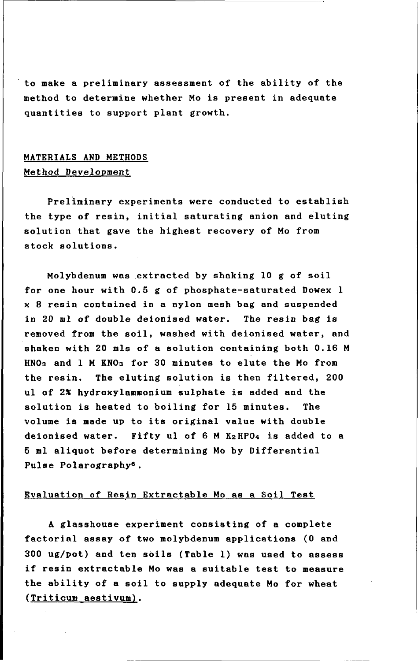to make a preliminary assessment of the ability of the method to determine whether Mo is present in adequate quantities to support plant growth.

# MATERIALS AND METHODS Method Development

Preliminary experiments were conducted to establish the type of resin, initial saturating anion and eluting solution that gave the highest recovery of Mo from stock solutions.

Molybdenum was extracted by shaking 10 g of soil for one hour with 0.5 g of phosphate-saturated Dowex 1 x 8 resin contained in a nylon mesh bag and suspended in 20 ml of double deionised water. The resin bag is removed from the soil, washed with deionised water, and shaken with 20 mls of a solution containing both 0.16 M HN03 and 1 M KN03 for 30 minutes to elute the Mo from the resin. The eluting solution is then filtered, 200 ul of 2% hydroxylammonium sulphate is added and the solution is heated to boiling for 15 minutes. The volume is made up to its original value with double deionised water. Fifty ul of 6 M K2HP04 is added to a 5 ml aliquot before determining Mo by Differential Pulse Polarography6.

#### Evaluation of Resin Extractable Mo as a Soil Test

A glasshouse experiment consisting of a complete factorial assay of two molybdenum applications (0 and 300 ug/pot) and ten soils (Table 1) was used to assess if resin extractable Mo was a suitable test to measure the ability of a soil to supply adequate Mo for wheat (Triticum aestivum).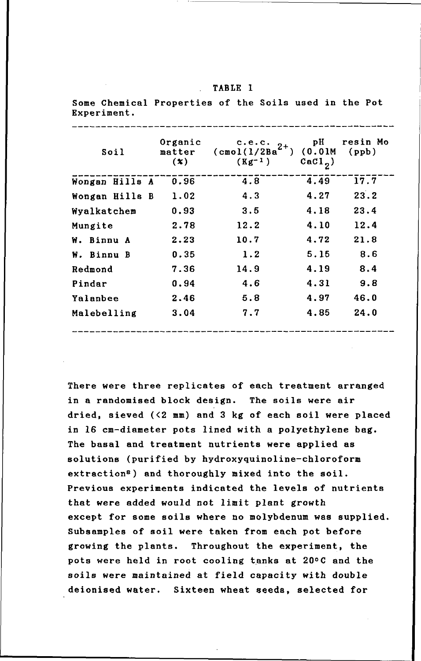#### $\mathbb{R}^{\mathbb{Z}^2}$ TABLE I

Some Chemical Properties of the Soils used in the Pot Experiment.

| Soil           | Organic<br>matter<br>$(\boldsymbol{x})$ | c.e.c.<br>$2+$<br>$(\texttt{cmol}(1/2Ba))$<br>$(Kg^{-1})$ | рH<br>(0.01M)<br>$\operatorname{card}_2$ ) | resin Mo<br>(ppb) |
|----------------|-----------------------------------------|-----------------------------------------------------------|--------------------------------------------|-------------------|
| Wongan Hills A | 0.96                                    | 4.8                                                       | 4.49                                       | 17.7              |
| Wongan Hills B | 1.02                                    | 4.3                                                       | 4.27                                       | 23.2              |
| Wyalkatchem    | 0.93                                    | 3.5                                                       | 4.18                                       | 23.4              |
| Mungite        | 2.78                                    | 12.2                                                      | 4.10                                       | 12.4              |
| W. Binnu A     | 2.23                                    | 10.7                                                      | 4.72                                       | 21.8              |
| W. Binnu B     | 0.35                                    | 1.2                                                       | 5.15                                       | 8.6               |
| Redmond        | 7.36                                    | 14.9                                                      | 4.19                                       | 8.4               |
| Pindar         | 0.94                                    | 4.6                                                       | 4.31                                       | 9.8               |
| Yalanbee       | 2.46                                    | 5.8                                                       | 4.97                                       | 46.0              |
| Malebelling    | 3.04                                    | 7.7                                                       | 4.85                                       | 24.0              |
|                |                                         |                                                           |                                            |                   |

There were three replicates of each treatment arranged in a randomised block design. The soils were air dried, sieved  $($ <2 mm) and 3 kg of each soil were placed in 16 em-diameter pots lined with a polyethylene bag. The basal and treatment nutrients were applied as solutions (purified by hydroxyquinoline-chloroform extraction<sup>8</sup>) and thoroughly mixed into the soil. Previous experiments indicated the levels of nutrients that were added would not limit plant growth except for some soils where no molybdenum was supplied. Subsamples of soil were taken from each pot before growing the plants. Throughout the experiment, the pots were held in root cooling tanks at 20°C and the soils were maintained at field capacity with double deionised water. Sixteen wheat seeds, selected for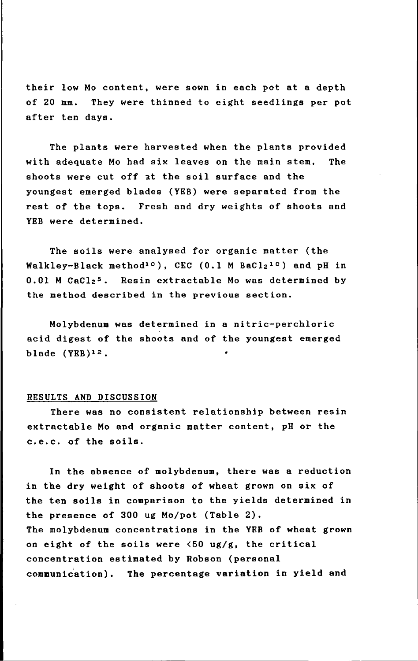their low Mo content, were sown in each pot at a depth of 20 mm. They were thinned to eight seedlings per pot after ten days.

The plants were harvested when the plants provided with adequate Mo had six leaves on the main stem. The shoots were cut off 3t the soil surface and the youngest emerged blades (YEB) were separated from the rest of the tops. Fresh and dry weights of shoots and YEB were determined.

The soils were analysed for organic matter (the Walkley-Black method<sup>10</sup>), CEC (0.1 M BaCl<sub>2</sub><sup>10</sup>) and pH in  $0.01$  M CaCl<sub>2</sub><sup>5</sup>. Resin extractable Mo was determined by the method described in the previous section.

Molybdenum was determined in a nitric-perchloric acid digest of the shoots and of the youngest emerged blade (YEB)12.

### RESULTS AND DISCUSSION

There was no consistent relationship between resin extractable Mo and organic matter content, pH or the c.e.c. of the soils.

In the absence of molybdenum, there was a reduction in the dry weight of shoots of wheat grown on six of the ten soils in comparison to the yields determined in the presence of 300 ug Mo/pot (Table 2). The molybdenum concentrations in the YEB of wheat grown on eight of the soils were  $\langle 50 \text{ ug/g},$  the critical concentration estimated by Robson (personal communidation). The percentage variation in yield and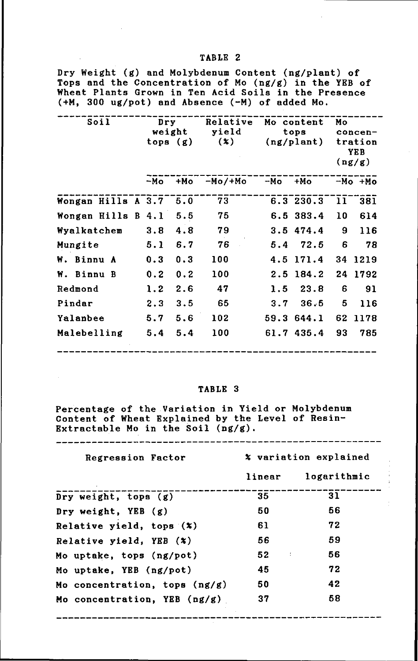## Dry Weight (g) and Molybdenum Content (ng/plant) of Tops and the Concentration of Mo (ng/g) in the YEB of Wheat Plants Grown in Ten Acid Soils in the Presence (+M, 300 ug/pot) and Absence (-M) of added Mo.

| Soil               | $_{\rm{Dry}}$ |        | Relative |                     | Mo content | Mо                        |         |
|--------------------|---------------|--------|----------|---------------------|------------|---------------------------|---------|
|                    |               | weight | yield    |                     | tops       |                           | concen- |
|                    | tops $(g)$    |        | (x)      | $(ng/\text{plan}t)$ |            | tration<br>YE B<br>(ng/g) |         |
|                    | $-MO$         | $+Mo$  | -Mo/+Mo  | $-MO$               | $+Mo$      |                           | -Mo +Mo |
| Wongan Hills A 3.7 |               | 5.0    | 73       |                     | 6.3 230.3  | 11                        | 381     |
| Wongan Hills B 4.1 |               | 5.5    | 75       |                     | 6.5 383.4  | 10                        | 614     |
| Wyalkatchem        | 3.8           | 4.8    | 79       |                     | 3.5474.4   | 9                         | 116     |
| Mungite            | 5.1           | 6.7    | 76       | 5.4                 | 72.5       | 6                         | 78      |
| W. Binnu A         | 0.3           | 0.3    | 100      |                     | 4.5 171.4  | 34                        | 1219    |
| W. Binnu B         | 0.2           | 0.2    | 100      |                     | 2.5 184.2  | 24                        | 1792    |
| Redmond            | 1.2           | 2.6    | 47       | 1.5                 | 23.8       | 6                         | 91      |
| Pindar             | 2.3           | 3.5    | 65       | 3.7                 | 36.5       | 5                         | 116     |
| Yalanbee           | 5.7           | 5.6    | 102      |                     | 59.3 644.1 | 62                        | 1178    |
| Malebelling        | 5.4           | 5.4    | 100      |                     | 61.7 435.4 | 93                        | 785     |

## TABLE 3

Percentage of the Variation in Yield or Molybdenum Content of Wheat Explained by the Level of Resin-Extractable Mo in the Soil  $(ng/g)$ .

| Regression Factor               | % variation explained          |                    |  |  |
|---------------------------------|--------------------------------|--------------------|--|--|
|                                 |                                | linear logarithmic |  |  |
| Dry weight, tops $(g)$          | 35                             | 31                 |  |  |
| Dry weight, $YEB(g)$            | 50                             | 56                 |  |  |
| Relative yield, tops $(x)$      | 61                             | 72                 |  |  |
| Relative yield, $YBB (x)$       | 56                             | 59                 |  |  |
| Mo uptake, tops (ng/pot)        | 52<br>$\overline{\phantom{a}}$ | 56                 |  |  |
| Mo uptake, YEB (ng/pot)         | 45                             | 72                 |  |  |
| Mo concentration, tops $(ng/g)$ | 50                             | 42                 |  |  |
| Mo concentration, YEB $(ng/g)$  | 37                             | 58                 |  |  |

## TABLE 2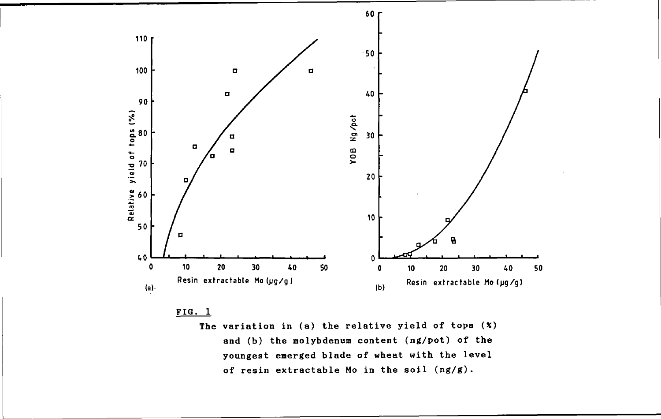

## $FIG. 1$

The variation in (a) the relative yield of tops  $(*)$ and (b) the molybdenum content (ng/pot) of the youngest emerged blade of wheat with the level of resin extractable Mo in the soil (ng/g).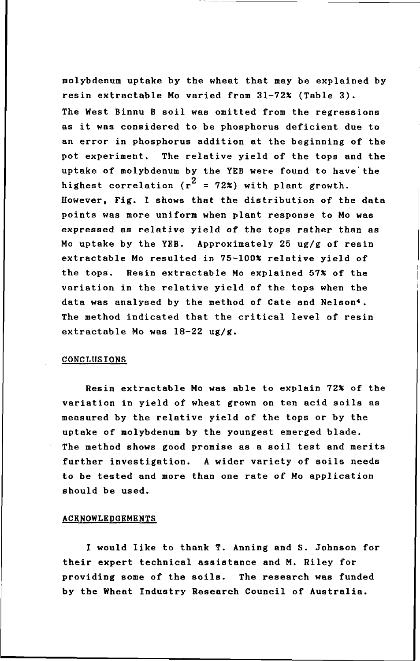molybdenum uptake by the wheat that may be explained by resin extractable Mo varied from 31-72% (Table 3). The West Binnu B soil was omitted from the regressions as it was considered to be phosphorus deficient due to an error in phosphorus addition at the beginning of the pot experiment. The relative yield of the tops and the uptake of molybdenum by the YEB were found to have'the highest correlation ( $r^2$  = 72%) with plant growth. However, Fig. 1 shows that the distribution of the data points was more uniform when plant response to Mo was expressed as relative yield of the tops rather than as Mo uptake by the YEB. Approximately 25 ug/g of resin extractable Mo resulted in 75-100% relative yield of the tops. Resin extractable Mo explained 57% of the variation in the relative yield of the tops when the data was analysed by the method of Cate and Nelson<sup>4</sup>. The method indicated that the critical level of resin extractable Mo was 18-22 ug/g.

#### CONCLUSIONS

Resin extractable Mo was able to explain 72% of the variation in yield of wheat grown on ten acid soils as measured by the relative yield of the tops or by the uptake of molybdenum by the youngest emerged blade. The method shows good promise as a soil test and merits further investigation. A wider variety of soils needs to be tested and more than one rate of Mo application should be used.

#### ACKNOWLEDGEMENTS

I would like to thank T. Anning and S. Johnson for their expert technical assistance and M. Riley for providing some of the soils. The research was funded by the Wheat Industry Research Council of Australia.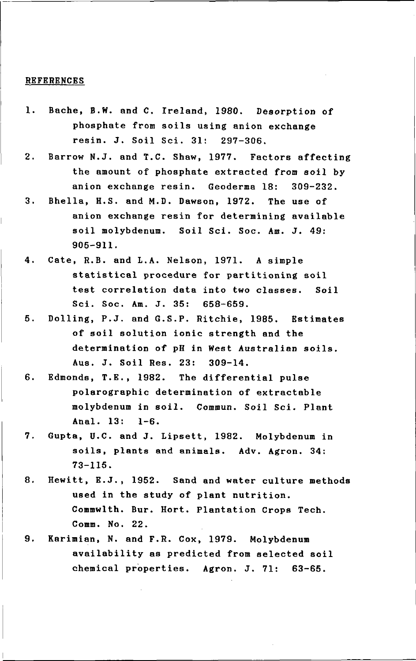#### **REFERENCES**

- 1. Bache, B.W. and C. Ireland, 1980. Desorption of phosphate from soils using anion exchange resin. J. Soil Sci. 31: 297-306.
- 2. Barrow N.J. and T.C. Shaw, 1977. Factors affecting the amount of phosphate extracted from soil by anion exchange resin. Geoderma 18: 309-232.
- 3. Bhella, H.S. and M.D. Dawson, 1972. The use of anion exchange resin for determining available soil molybdenum. Soil Sci. Soc. Am. J. 49: 905-911.
- 4. Cate, R.B. and L.A. Nelson, 1971. A simple statistical procedure for partitioning soil test correlation data into two classes. Soil Sci. Soc. Am. J. 35: 658-659.
- 5. Dolling, P.J. and G.S.P. Ritchie, 1985. Estimates of soil solution ionic strength and the determination of pH in West Australian soils. Aus. J. Soil Res. 23: 309-14.
- 6. Edmonds, T.E., 1982. The differential pulse polarographic determination of extractable molybdenum in soil. Commun. Soil Sci. Plant Anal. 13: 1-6.
- 7. Gupta, U.C. and J. Lipsett, 1982. Molybdenum in soils, plants and animals. Adv. Agron. 34: 73-115.
- 8. Hewitt, E.J., 1952. Sand and water culture methods used in the study of plant nutrition. Commwlth. Bur. Hort. Plantation Crops Tech. Comm. No. 22.
- 9. Karimian, N. and F.R. Cox, 1979. Molybdenum availability as predicted from selected soil chemical properties. Agron. J. 71: 63-65.